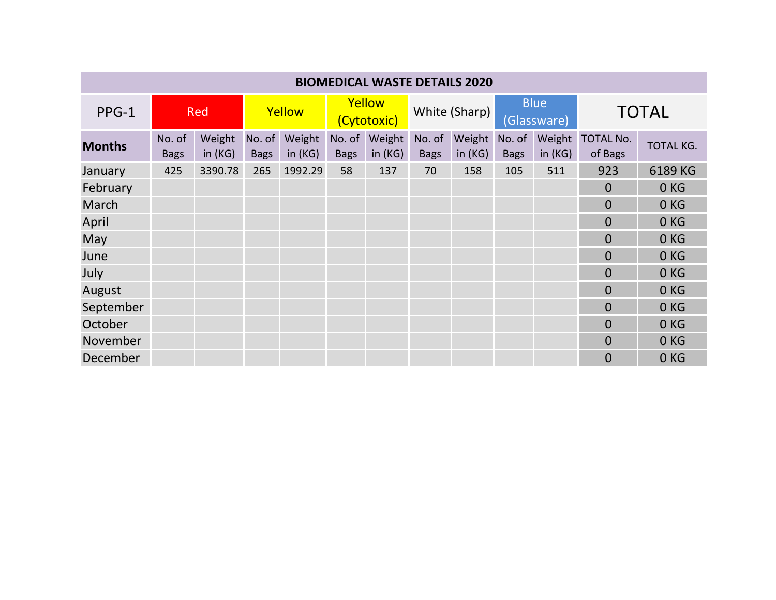| <b>BIOMEDICAL WASTE DETAILS 2020</b> |                       |                     |                       |                     |                       |                     |                       |                     |                            |                     |                             |                 |
|--------------------------------------|-----------------------|---------------------|-----------------------|---------------------|-----------------------|---------------------|-----------------------|---------------------|----------------------------|---------------------|-----------------------------|-----------------|
| PPG-1                                | <b>Red</b>            |                     | Yellow                |                     | Yellow<br>(Cytotoxic) |                     | White (Sharp)         |                     | <b>Blue</b><br>(Glassware) |                     | <b>TOTAL</b>                |                 |
| <b>Months</b>                        | No. of<br><b>Bags</b> | Weight<br>in $(KG)$ | No. of<br><b>Bags</b> | Weight<br>in $(KG)$ | No. of<br><b>Bags</b> | Weight<br>in $(KG)$ | No. of<br><b>Bags</b> | Weight<br>in $(KG)$ | No. of<br><b>Bags</b>      | Weight<br>in $(KG)$ | <b>TOTAL No.</b><br>of Bags | TOTAL KG.       |
| January                              | 425                   | 3390.78             | 265                   | 1992.29             | 58                    | 137                 | 70                    | 158                 | 105                        | 511                 | 923                         | 6189 KG         |
| February                             |                       |                     |                       |                     |                       |                     |                       |                     |                            |                     | $\overline{0}$              | 0KG             |
| March                                |                       |                     |                       |                     |                       |                     |                       |                     |                            |                     | $\overline{0}$              | 0KG             |
| April                                |                       |                     |                       |                     |                       |                     |                       |                     |                            |                     | $\Omega$                    | 0KG             |
| May                                  |                       |                     |                       |                     |                       |                     |                       |                     |                            |                     | $\overline{0}$              | 0KG             |
| June                                 |                       |                     |                       |                     |                       |                     |                       |                     |                            |                     | $\overline{0}$              | 0KG             |
| July                                 |                       |                     |                       |                     |                       |                     |                       |                     |                            |                     | $\overline{0}$              | 0 <sub>KG</sub> |
| August                               |                       |                     |                       |                     |                       |                     |                       |                     |                            |                     | $\overline{0}$              | 0KG             |
| September                            |                       |                     |                       |                     |                       |                     |                       |                     |                            |                     | $\overline{0}$              | 0KG             |
| October                              |                       |                     |                       |                     |                       |                     |                       |                     |                            |                     | $\Omega$                    | 0KG             |
| November                             |                       |                     |                       |                     |                       |                     |                       |                     |                            |                     | $\Omega$                    | 0KG             |
| December                             |                       |                     |                       |                     |                       |                     |                       |                     |                            |                     | $\overline{0}$              | 0 <sub>KG</sub> |